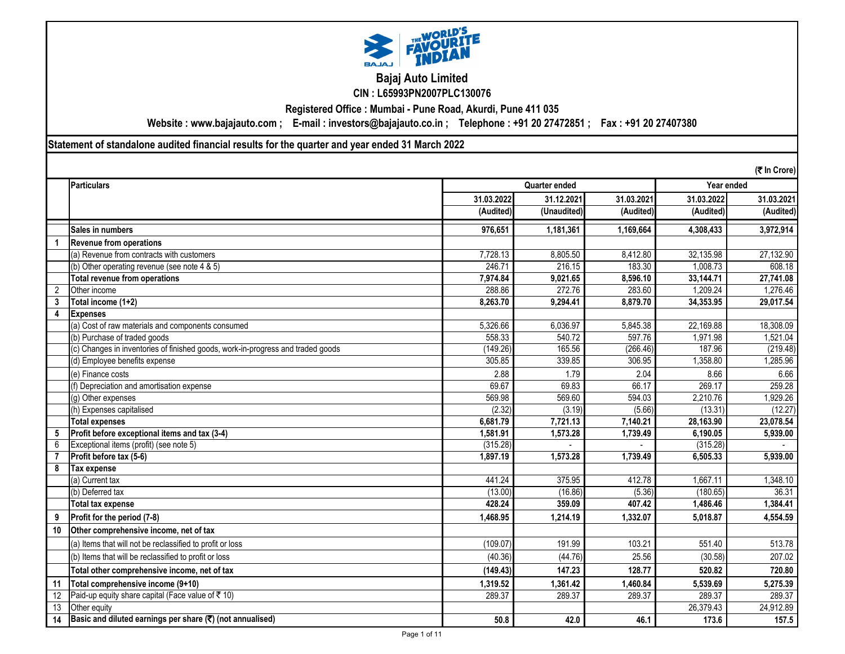

# **Bajaj Auto Limited**

**CIN : L65993PN2007PLC130076**

**Registered Office : Mumbai - Pune Road, Akurdi, Pune 411 035**

**Website : www.bajajauto.com ; E-mail : investors@bajajauto.co.in ; Telephone : +91 20 27472851 ; Fax : +91 20 27407380**

**Statement of standalone audited financial results for the quarter and year ended 31 March 2022**

|                 | (そ In Crore)                                                                    |            |               |            |            |            |  |  |
|-----------------|---------------------------------------------------------------------------------|------------|---------------|------------|------------|------------|--|--|
|                 | <b>Particulars</b>                                                              |            | Quarter ended |            |            | Year ended |  |  |
|                 |                                                                                 | 31.03.2022 | 31.12.2021    | 31.03.2021 | 31.03.2022 | 31.03.2021 |  |  |
|                 |                                                                                 | (Audited)  | (Unaudited)   | (Audited)  | (Audited)  | (Audited)  |  |  |
|                 | Sales in numbers                                                                | 976,651    | 1,181,361     | 1,169,664  | 4,308,433  | 3,972,914  |  |  |
| $\mathbf{1}$    | <b>Revenue from operations</b>                                                  |            |               |            |            |            |  |  |
|                 | (a) Revenue from contracts with customers                                       | 7,728.13   | 8,805.50      | 8,412.80   | 32,135.98  | 27,132.90  |  |  |
|                 | (b) Other operating revenue (see note 4 & 5)                                    | 246.71     | 216.15        | 183.30     | 1,008.73   | 608.18     |  |  |
|                 | Total revenue from operations                                                   | 7,974.84   | 9,021.65      | 8,596.10   | 33,144.71  | 27,741.08  |  |  |
| 2               | Other income                                                                    | 288.86     | 272.76        | 283.60     | 1,209.24   | 1,276.46   |  |  |
| $\mathbf{3}$    | Total income (1+2)                                                              | 8,263.70   | 9,294.41      | 8,879.70   | 34,353.95  | 29,017.54  |  |  |
| 4               | <b>Expenses</b>                                                                 |            |               |            |            |            |  |  |
|                 | (a) Cost of raw materials and components consumed                               | 5,326.66   | 6,036.97      | 5,845.38   | 22,169.88  | 18,308.09  |  |  |
|                 | (b) Purchase of traded goods                                                    | 558.33     | 540.72        | 597.76     | 1,971.98   | 1,521.04   |  |  |
|                 | (c) Changes in inventories of finished goods, work-in-progress and traded goods | (149.26)   | 165.56        | (266.46)   | 187.96     | (219.48)   |  |  |
|                 | (d) Employee benefits expense                                                   | 305.85     | 339.85        | 306.95     | 1,358.80   | 1,285.96   |  |  |
|                 | (e) Finance costs                                                               | 2.88       | 1.79          | 2.04       | 8.66       | 6.66       |  |  |
|                 | (f) Depreciation and amortisation expense                                       | 69.67      | 69.83         | 66.17      | 269.17     | 259.28     |  |  |
|                 | (g) Other expenses                                                              | 569.98     | 569.60        | 594.03     | 2,210.76   | ,929.26    |  |  |
|                 | (h) Expenses capitalised                                                        | (2.32)     | (3.19)        | (5.66)     | (13.31)    | (12.27)    |  |  |
|                 | <b>Total expenses</b>                                                           | 6,681.79   | 7,721.13      | 7,140.21   | 28,163.90  | 23,078.54  |  |  |
| 5               | Profit before exceptional items and tax (3-4)                                   | 1,581.91   | 1,573.28      | 1,739.49   | 6,190.05   | 5,939.00   |  |  |
| 6               | Exceptional items (profit) (see note 5)                                         | (315.28)   |               |            | (315.28)   |            |  |  |
|                 | Profit before tax (5-6)                                                         | 1,897.19   | 1,573.28      | 1,739.49   | 6,505.33   | 5.939.00   |  |  |
| 8               | Tax expense                                                                     |            |               |            |            |            |  |  |
|                 | (a) Current tax                                                                 | 441.24     | 375.95        | 412.78     | 1.667.11   | 1,348.10   |  |  |
|                 | (b) Deferred tax                                                                | (13.00)    | (16.86)       | (5.36)     | (180.65)   | 36.31      |  |  |
|                 | Total tax expense                                                               | 428.24     | 359.09        | 407.42     | 1,486.46   | 1,384.41   |  |  |
| 9               | Profit for the period (7-8)                                                     | 1.468.95   | 1,214.19      | 1,332.07   | 5.018.87   | 4,554.59   |  |  |
| 10              | Other comprehensive income, net of tax                                          |            |               |            |            |            |  |  |
|                 | (a) Items that will not be reclassified to profit or loss                       | (109.07)   | 191.99        | 103.21     | 551.40     | 513.78     |  |  |
|                 | (b) Items that will be reclassified to profit or loss                           | (40.36)    | (44.76)       | 25.56      | (30.58)    | 207.02     |  |  |
|                 | Total other comprehensive income, net of tax                                    | (149.43)   | 147.23        | 128.77     | 520.82     | 720.80     |  |  |
| 11              | Total comprehensive income (9+10)                                               | 1,319.52   | 1,361.42      | 1,460.84   | 5,539.69   | 5,275.39   |  |  |
| 12              | Paid-up equity share capital (Face value of ₹10)                                | 289.37     | 289.37        | 289.37     | 289.37     | 289.37     |  |  |
| $\overline{13}$ | Other equity                                                                    |            |               |            | 26,379.43  | 24,912.89  |  |  |
| 14              | Basic and diluted earnings per share (₹) (not annualised)                       | 50.8       | 42.0          | 46.1       | 173.6      | 157.5      |  |  |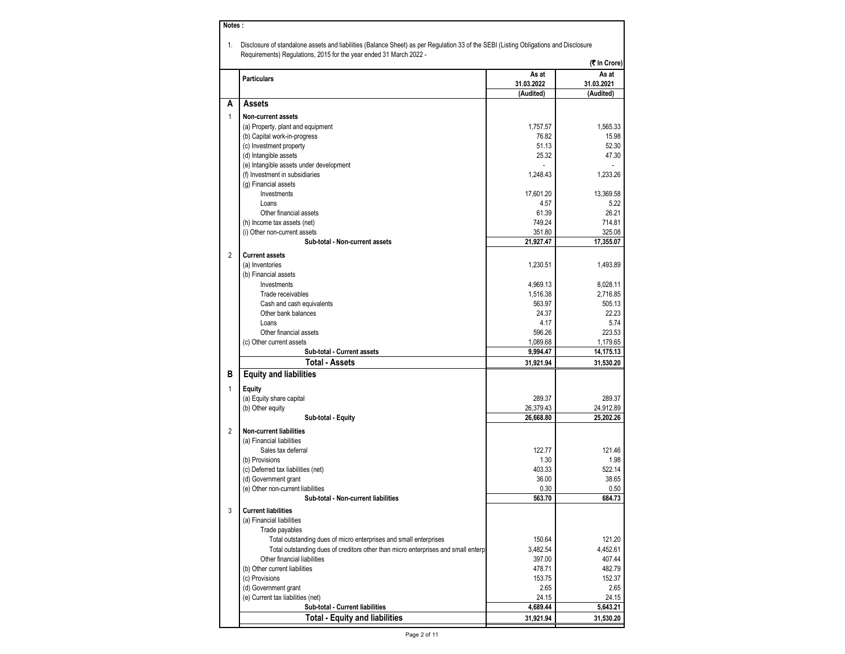| Notes:       |                                                                                                                                                                                                            |                     |                      |
|--------------|------------------------------------------------------------------------------------------------------------------------------------------------------------------------------------------------------------|---------------------|----------------------|
| 1.           | Disclosure of standalone assets and liabilities (Balance Sheet) as per Regulation 33 of the SEBI (Listing Obligations and Disclosure<br>Requirements) Regulations, 2015 for the year ended 31 March 2022 - |                     |                      |
|              |                                                                                                                                                                                                            |                     | (₹ In Crore)         |
|              | <b>Particulars</b>                                                                                                                                                                                         | As at<br>31.03.2022 | As at<br>31.03.2021  |
|              |                                                                                                                                                                                                            | (Audited)           | (Audited)            |
| A            | Assets                                                                                                                                                                                                     |                     |                      |
| $\mathbf{1}$ | <b>Non-current assets</b>                                                                                                                                                                                  |                     |                      |
|              | (a) Property, plant and equipment                                                                                                                                                                          | 1,757.57            | 1,565.33             |
|              | (b) Capital work-in-progress                                                                                                                                                                               | 76.82               | 15.98                |
|              | (c) Investment property                                                                                                                                                                                    | 51.13               | 52.30                |
|              | (d) Intangible assets                                                                                                                                                                                      | 25.32               | 47.30                |
|              | (e) Intangible assets under development                                                                                                                                                                    |                     |                      |
|              | (f) Investment in subsidiaries                                                                                                                                                                             | 1.248.43            | 1,233.26             |
|              | (g) Financial assets                                                                                                                                                                                       |                     |                      |
|              | Investments                                                                                                                                                                                                | 17,601.20           | 13,369.58            |
|              | Loans<br>Other financial assets                                                                                                                                                                            | 4.57<br>61.39       | 5.22<br>26.21        |
|              | (h) Income tax assets (net)                                                                                                                                                                                | 749.24              | 714.81               |
|              | (i) Other non-current assets                                                                                                                                                                               | 351.80              | 325.08               |
|              | Sub-total - Non-current assets                                                                                                                                                                             | 21,927.47           | 17,355.07            |
|              |                                                                                                                                                                                                            |                     |                      |
| 2            | <b>Current assets</b>                                                                                                                                                                                      |                     |                      |
|              | (a) Inventories                                                                                                                                                                                            | 1,230.51            | 1,493.89             |
|              | (b) Financial assets<br>Investments                                                                                                                                                                        | 4,969.13            |                      |
|              | Trade receivables                                                                                                                                                                                          | 1,516.38            | 8,028.11<br>2,716.85 |
|              | Cash and cash equivalents                                                                                                                                                                                  | 563.97              | 505.13               |
|              | Other bank balances                                                                                                                                                                                        | 24.37               | 22.23                |
|              | Loans                                                                                                                                                                                                      | 4.17                | 5.74                 |
|              | Other financial assets                                                                                                                                                                                     | 596.26              | 223.53               |
|              | (c) Other current assets                                                                                                                                                                                   | 1,089.68            | 1,179.65             |
|              | Sub-total - Current assets                                                                                                                                                                                 | 9,994.47            | 14,175.13            |
|              | <b>Total - Assets</b>                                                                                                                                                                                      | 31,921.94           | 31,530.20            |
| в            | <b>Equity and liabilities</b>                                                                                                                                                                              |                     |                      |
| 1            | <b>Equity</b>                                                                                                                                                                                              |                     |                      |
|              | (a) Equity share capital                                                                                                                                                                                   | 289.37              | 289.37               |
|              | (b) Other equity                                                                                                                                                                                           | 26,379.43           | 24,912.89            |
|              | Sub-total - Equity                                                                                                                                                                                         | 26,668.80           | 25,202.26            |
| 2            | <b>Non-current liabilities</b>                                                                                                                                                                             |                     |                      |
|              | (a) Financial liabilities                                                                                                                                                                                  |                     |                      |
|              | Sales tax deferral                                                                                                                                                                                         | 122.77              | 121.46               |
|              | (b) Provisions                                                                                                                                                                                             | 1.30                | 1.98                 |
|              | (c) Deferred tax liabilities (net)                                                                                                                                                                         | 403.33              | 522.14               |
|              | (d) Government grant                                                                                                                                                                                       | 36.00               | 38.65                |
|              | (e) Other non-current liabilities                                                                                                                                                                          | 0.30                | 0.50                 |
|              | Sub-total - Non-current liabilities                                                                                                                                                                        | 563.70              | 684.73               |
| 3            | <b>Current liabilities</b>                                                                                                                                                                                 |                     |                      |
|              | (a) Financial liabilities                                                                                                                                                                                  |                     |                      |
|              | Trade payables                                                                                                                                                                                             |                     |                      |
|              | Total outstanding dues of micro enterprises and small enterprises                                                                                                                                          | 150.64              | 121.20               |
|              | Total outstanding dues of creditors other than micro enterprises and small enterp                                                                                                                          | 3,482.54            | 4,452.61             |
|              | Other financial liabilities                                                                                                                                                                                | 397.00              | 407.44               |
|              | (b) Other current liabilities                                                                                                                                                                              | 478.71              | 482.79               |
|              | (c) Provisions                                                                                                                                                                                             | 153.75              | 152.37               |
|              | (d) Government grant                                                                                                                                                                                       | 2.65                | 2.65                 |
|              | (e) Current tax liabilities (net)<br>Sub-total - Current liabilities                                                                                                                                       | 24.15<br>4,689.44   | 24.15<br>5,643.21    |
|              | <b>Total - Equity and liabilities</b>                                                                                                                                                                      | 31,921.94           | 31,530.20            |
|              |                                                                                                                                                                                                            |                     |                      |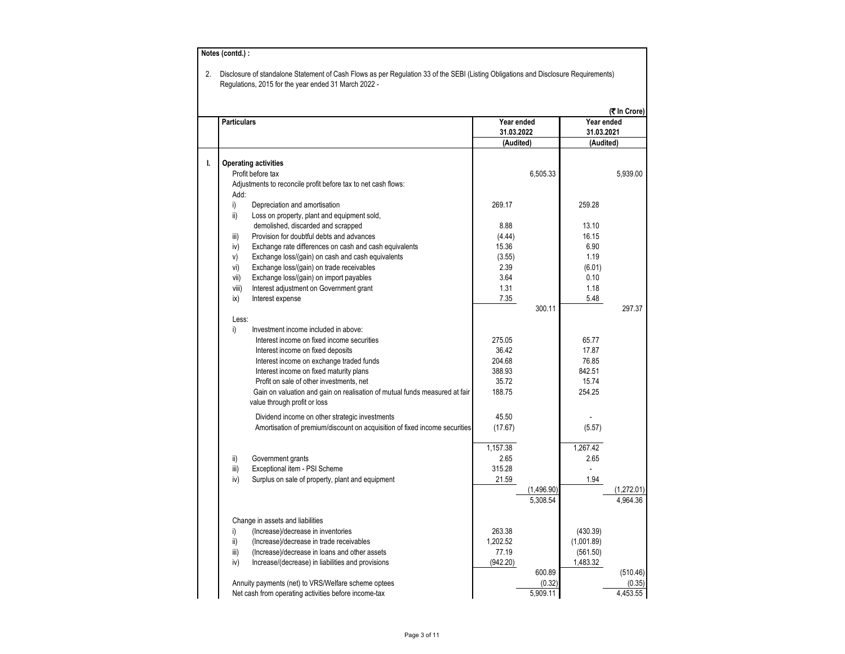| <b>Particulars</b> |                                                                            |                          |            | Year ended |                    |
|--------------------|----------------------------------------------------------------------------|--------------------------|------------|------------|--------------------|
|                    |                                                                            | Year ended<br>31.03.2022 |            | 31.03.2021 |                    |
|                    |                                                                            | (Audited)                |            | (Audited)  |                    |
|                    | <b>Operating activities</b>                                                |                          |            |            |                    |
|                    | Profit before tax                                                          |                          | 6,505.33   |            | 5,939.00           |
|                    | Adjustments to reconcile profit before tax to net cash flows:              |                          |            |            |                    |
| Add:               |                                                                            |                          |            |            |                    |
| i)                 | Depreciation and amortisation                                              | 269.17                   |            | 259.28     |                    |
| ii)                | Loss on property, plant and equipment sold,                                |                          |            |            |                    |
|                    | demolished, discarded and scrapped                                         | 8.88                     |            | 13.10      |                    |
| iii)               | Provision for doubtful debts and advances                                  | (4.44)                   |            | 16.15      |                    |
| iv)                | Exchange rate differences on cash and cash equivalents                     | 15.36                    |            | 6.90       |                    |
| V)                 | Exchange loss/(gain) on cash and cash equivalents                          | (3.55)                   |            | 1.19       |                    |
| vi)                | Exchange loss/(gain) on trade receivables                                  | 2.39                     |            | (6.01)     |                    |
| vii)               | Exchange loss/(gain) on import payables                                    | 3.64                     |            | 0.10       |                    |
| viii)              | Interest adjustment on Government grant                                    | 1.31                     |            | 1.18       |                    |
| ix)                | Interest expense                                                           | 7.35                     |            | 5.48       |                    |
|                    |                                                                            |                          | 300.11     |            | 297.37             |
| Less:              |                                                                            |                          |            |            |                    |
| i)                 | Investment income included in above:                                       |                          |            |            |                    |
|                    | Interest income on fixed income securities                                 | 275.05                   |            | 65.77      |                    |
|                    | Interest income on fixed deposits                                          | 36.42                    |            | 17.87      |                    |
|                    | Interest income on exchange traded funds                                   | 204.68                   |            | 76.85      |                    |
|                    | Interest income on fixed maturity plans                                    | 388.93                   |            | 842.51     |                    |
|                    | Profit on sale of other investments, net                                   | 35.72                    |            | 15.74      |                    |
|                    | Gain on valuation and gain on realisation of mutual funds measured at fair | 188.75                   |            | 254.25     |                    |
|                    | value through profit or loss                                               |                          |            |            |                    |
|                    | Dividend income on other strategic investments                             | 45.50                    |            |            |                    |
|                    | Amortisation of premium/discount on acquisition of fixed income securities | (17.67)                  |            | (5.57)     |                    |
|                    |                                                                            |                          |            |            |                    |
|                    |                                                                            | 1,157.38                 |            | 1,267.42   |                    |
| ii)                | Government grants                                                          | 2.65                     |            | 2.65       |                    |
| iii)               | Exceptional item - PSI Scheme                                              | 315.28                   |            |            |                    |
| iv)                | Surplus on sale of property, plant and equipment                           | 21.59                    |            | 1.94       |                    |
|                    |                                                                            |                          | (1,496.90) |            | (1,272.01)         |
|                    |                                                                            |                          | 5,308.54   |            | 4,964.36           |
|                    |                                                                            |                          |            |            |                    |
|                    | Change in assets and liabilities                                           |                          |            |            |                    |
| i)                 | (Increase)/decrease in inventories                                         | 263.38                   |            | (430.39)   |                    |
| ii)                | (Increase)/decrease in trade receivables                                   | 1,202.52                 |            | (1,001.89) |                    |
| iii)               | (Increase)/decrease in loans and other assets                              | 77.19                    |            | (561.50)   |                    |
| iv)                | Increase/(decrease) in liabilities and provisions                          | (942.20)                 | 600.89     | 1,483.32   |                    |
|                    |                                                                            |                          |            |            |                    |
|                    | Annuity payments (net) to VRS/Welfare scheme optees                        |                          | (0.32)     |            | (510.46)<br>(0.35) |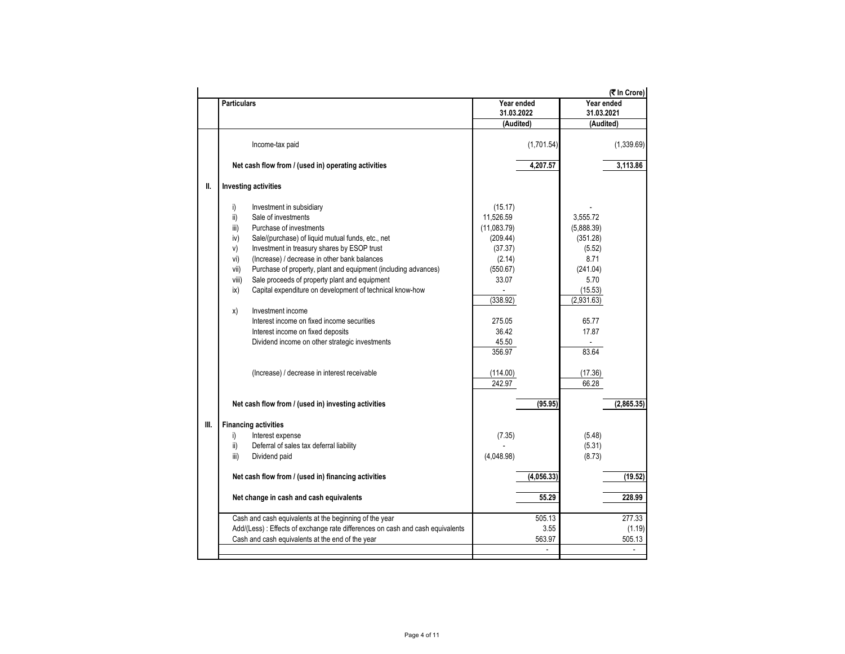|      |                    |                                                                                |             |                |                | (そ In Crore) |
|------|--------------------|--------------------------------------------------------------------------------|-------------|----------------|----------------|--------------|
|      | <b>Particulars</b> |                                                                                | Year ended  |                | Year ended     |              |
|      |                    |                                                                                | 31.03.2022  |                | 31.03.2021     |              |
|      |                    |                                                                                | (Audited)   |                | (Audited)      |              |
|      |                    | Income-tax paid                                                                |             | (1,701.54)     |                | (1,339.69)   |
|      |                    | Net cash flow from / (used in) operating activities                            |             | 4,207.57       |                | 3,113.86     |
| Ш.   |                    | <b>Investing activities</b>                                                    |             |                |                |              |
|      | i)                 | Investment in subsidiary                                                       | (15.17)     |                |                |              |
|      | ii)                | Sale of investments                                                            | 11,526.59   |                | 3,555.72       |              |
|      | iii)               | Purchase of investments                                                        | (11,083.79) |                | (5,888.39)     |              |
|      | iv)                | Sale/(purchase) of liquid mutual funds, etc., net                              | (209.44)    |                | (351.28)       |              |
|      | v)                 | Investment in treasury shares by ESOP trust                                    | (37.37)     |                | (5.52)         |              |
|      | vi)                | (Increase) / decrease in other bank balances                                   | (2.14)      |                | 8.71           |              |
|      | vii)               | Purchase of property, plant and equipment (including advances)                 | (550.67)    |                | (241.04)       |              |
|      | viii)              | Sale proceeds of property plant and equipment                                  | 33.07       |                | 5.70           |              |
|      | ix)                | Capital expenditure on development of technical know-how                       |             |                | (15.53)        |              |
|      |                    |                                                                                | (338.92)    |                | (2,931.63)     |              |
|      | x)                 | Investment income                                                              |             |                |                |              |
|      |                    | Interest income on fixed income securities                                     | 275.05      |                | 65.77          |              |
|      |                    | Interest income on fixed deposits                                              | 36.42       |                | 17.87          |              |
|      |                    | Dividend income on other strategic investments                                 | 45.50       |                | $\blacksquare$ |              |
|      |                    |                                                                                | 356.97      |                | 83.64          |              |
|      |                    | (Increase) / decrease in interest receivable                                   | (114.00)    |                | (17.36)        |              |
|      |                    |                                                                                | 242.97      |                | 66.28          |              |
|      |                    | Net cash flow from / (used in) investing activities                            |             | (95.95)        |                | (2,865.35)   |
| III. |                    | <b>Financing activities</b>                                                    |             |                |                |              |
|      | i)                 | Interest expense                                                               | (7.35)      |                | (5.48)         |              |
|      | ii)                | Deferral of sales tax deferral liability                                       |             |                | (5.31)         |              |
|      | iii)               | Dividend paid                                                                  | (4,048.98)  |                | (8.73)         |              |
|      |                    | Net cash flow from / (used in) financing activities                            |             | (4,056.33)     |                | (19.52)      |
|      |                    | Net change in cash and cash equivalents                                        |             | 55.29          |                | 228.99       |
|      |                    | Cash and cash equivalents at the beginning of the year                         |             | 505.13         |                | 277.33       |
|      |                    | Add/(Less) : Effects of exchange rate differences on cash and cash equivalents |             | 3.55           |                | (1.19)       |
|      |                    | Cash and cash equivalents at the end of the year                               |             | 563.97         |                | 505.13       |
|      |                    |                                                                                |             | $\overline{a}$ |                |              |
|      |                    |                                                                                |             |                |                |              |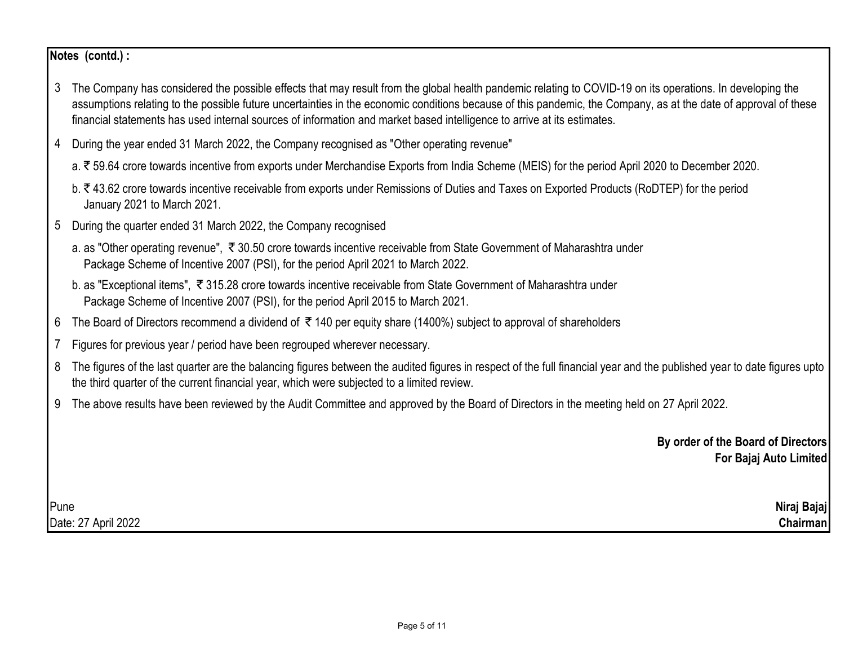## **Notes (contd.) :**

- 3 The Company has considered the possible effects that may result from the global health pandemic relating to COVID-19 on its operations. In developing the assumptions relating to the possible future uncertainties in the economic conditions because of this pandemic, the Company, as at the date of approval of these financial statements has used internal sources of information and market based intelligence to arrive at its estimates.
- 4 During the year ended 31 March 2022, the Company recognised as "Other operating revenue"
	- a. ₹59.64 crore towards incentive from exports under Merchandise Exports from India Scheme (MEIS) for the period April 2020 to December 2020.
	- b. ₹43.62 crore towards incentive receivable from exports under Remissions of Duties and Taxes on Exported Products (RoDTEP) for the period January 2021 to March 2021.
- 5 During the quarter ended 31 March 2022, the Company recognised
	- a. as "Other operating revenue",  $\bar{\tau}$  30.50 crore towards incentive receivable from State Government of Maharashtra under Package Scheme of Incentive 2007 (PSI), for the period April 2021 to March 2022.
	- b. as "Exceptional items", ₹315.28 crore towards incentive receivable from State Government of Maharashtra under Package Scheme of Incentive 2007 (PSI), for the period April 2015 to March 2021.
- 6 The Board of Directors recommend a dividend of ₹140 per equity share (1400%) subject to approval of shareholders
- 7 Figures for previous year / period have been regrouped wherever necessary.
- 8 The figures of the last quarter are the balancing figures between the audited figures in respect of the full financial year and the published year to date figures upto the third quarter of the current financial year, which were subjected to a limited review.
- 9 The above results have been reviewed by the Audit Committee and approved by the Board of Directors in the meeting held on 27 April 2022.

**By order of the Board of Directors For Bajaj Auto Limited**

Pune **Niraj Bajaj** Date: 27 April 2022 **Chairman**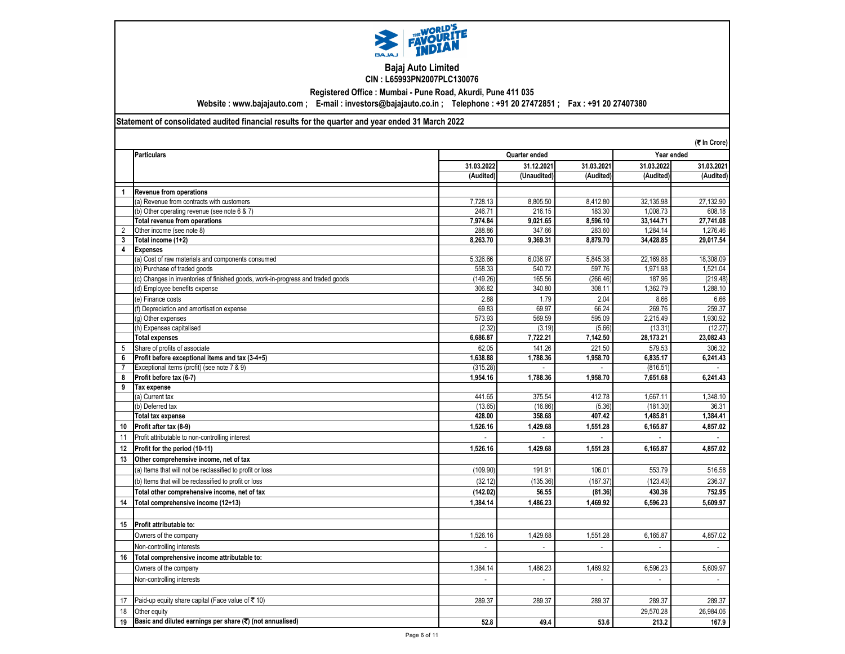

## **Bajaj Auto Limited CIN : L65993PN2007PLC130076**

**Registered Office : Mumbai - Pune Road, Akurdi, Pune 411 035**

**Website : www.bajajauto.com ; E-mail : investors@bajajauto.co.in ; Telephone : +91 20 27472851 ; Fax : +91 20 27407380**

## **Statement of consolidated audited financial results for the quarter and year ended 31 March 2022**

|                | (₹ In Crore)                                                                    |              |                             |                             |            |            |
|----------------|---------------------------------------------------------------------------------|--------------|-----------------------------|-----------------------------|------------|------------|
|                | <b>Particulars</b>                                                              |              | Quarter ended               |                             |            | Year ended |
|                |                                                                                 | 31.03.2022   | 31.12.2021                  | 31.03.2021                  | 31.03.2022 | 31.03.2021 |
|                |                                                                                 | (Audited)    | (Unaudited)                 | (Audited)                   | (Audited)  | (Audited)  |
| $\overline{1}$ | <b>Revenue from operations</b>                                                  |              |                             |                             |            |            |
|                | (a) Revenue from contracts with customers                                       | 7.728.13     | 8.805.50                    | 8.412.80                    | 32.135.98  | 27,132.90  |
|                | (b) Other operating revenue (see note 6 & 7)                                    | 246.71       | 216.15                      | 183.30                      | 1,008.73   | 608.18     |
|                | <b>Total revenue from operations</b>                                            | 7.974.84     | 9.021.65                    | 8.596.10                    | 33.144.71  | 27.741.08  |
| $\overline{2}$ | Other income (see note 8)                                                       | 288.86       | 347.66                      | 283.60                      | 1,284.14   | 1,276.46   |
| 3              | Total income (1+2)                                                              | 8.263.70     | 9.369.31                    | 8.879.70                    | 34,428.85  | 29,017.54  |
| 4              | <b>Expenses</b>                                                                 |              |                             |                             |            |            |
|                | (a) Cost of raw materials and components consumed                               | 5,326.66     | 6,036.97                    | 5,845.38                    | 22,169.88  | 18,308.09  |
|                | (b) Purchase of traded goods                                                    | 558.33       | 540.72                      | 597.76                      | 1,971.98   | 1,521.04   |
|                | (c) Changes in inventories of finished goods, work-in-progress and traded goods | (149.26)     | 165.56                      | (266.46)                    | 187.96     | (219.48)   |
|                | (d) Employee benefits expense                                                   | 306.82       | 340.80                      | 308.11                      | 1,362.79   | 1,288.10   |
|                | (e) Finance costs                                                               | 2.88         | 1.79                        | 2.04                        | 8.66       | 6.66       |
|                | (f) Depreciation and amortisation expense                                       | 69.83        | 69.97                       | 66.24                       | 269.76     | 259.37     |
|                | (g) Other expenses                                                              | 573.93       | 569.59                      | 595.09                      | 2,215.49   | 1,930.92   |
|                | (h) Expenses capitalised                                                        | (2.32)       | (3.19)                      | (5.66)                      | (13.31)    | (12.27)    |
|                | <b>Total expenses</b>                                                           | 6,686.87     | 7,722.21                    | 7,142.50                    | 28,173.21  | 23,082.43  |
| 5              | Share of profits of associate                                                   | 62.05        | 141.26                      | 221.50                      | 579.53     | 306.32     |
| 6              | Profit before exceptional items and tax (3-4+5)                                 | 1,638.88     | 1,788.36                    | 1,958.70                    | 6.835.17   | 6,241.43   |
| $\overline{7}$ | Exceptional items (profit) (see note 7 & 9)                                     | (315.28)     |                             |                             | (816.51)   |            |
| 8              | Profit before tax (6-7)                                                         | 1,954.16     | 1,788.36                    | 1,958.70                    | 7.651.68   | 6,241.43   |
| 9              | Tax expense                                                                     |              |                             |                             |            |            |
|                | (a) Current tax                                                                 | 441.65       | 375.54                      | 412.78                      | 1,667.11   | 1,348.10   |
|                | (b) Deferred tax                                                                | (13.65)      | (16.86)                     | (5.36)                      | (181.30)   | 36.31      |
|                | <b>Total tax expense</b>                                                        | 428.00       | 358.68                      | 407.42                      | 1,485.81   | 1,384.41   |
| 10             | Profit after tax (8-9)                                                          | 1,526.16     | 1,429.68                    | 1,551.28                    | 6,165.87   | 4,857.02   |
| 11             | Profit attributable to non-controlling interest                                 |              |                             |                             |            |            |
| 12             | Profit for the period (10-11)                                                   | 1,526.16     | 1,429.68                    | 1,551.28                    | 6,165.87   | 4,857.02   |
| 13             | Other comprehensive income, net of tax                                          |              |                             |                             |            |            |
|                | (a) Items that will not be reclassified to profit or loss                       | (109.90)     | 191.91                      | 106.01                      | 553.79     | 516.58     |
|                | (b) Items that will be reclassified to profit or loss                           | (32.12)      | (135.36)                    | (187.37)                    | (123.43)   | 236.37     |
|                | Total other comprehensive income, net of tax                                    | (142.02)     | 56.55                       | (81.36)                     | 430.36     | 752.95     |
| 14             | Total comprehensive income (12+13)                                              | 1,384.14     | 1,486.23                    | 1,469.92                    | 6,596.23   | 5,609.97   |
|                |                                                                                 |              |                             |                             |            |            |
| 15             | Profit attributable to:                                                         |              |                             |                             |            |            |
|                | Owners of the company                                                           | 1,526.16     | 1,429.68                    | 1,551.28                    | 6,165.87   | 4,857.02   |
|                | Non-controlling interests                                                       | $\mathbf{r}$ | $\mathbf{r}$                | $\mathbf{r}$                | ÷.         | $\sim$     |
| 16             | Total comprehensive income attributable to:                                     |              |                             |                             |            |            |
|                |                                                                                 |              | 1.486.23                    |                             |            |            |
|                | Owners of the company                                                           | 1,384.14     |                             | 1,469.92                    | 6,596.23   | 5,609.97   |
|                | Non-controlling interests                                                       | $\sim$       | $\mathcal{L}_{\mathcal{A}}$ | $\mathcal{L}_{\mathcal{A}}$ | $\sim$     | $\sim$     |
|                |                                                                                 |              |                             |                             |            |            |
| 17             | Paid-up equity share capital (Face value of ₹10)                                | 289.37       | 289.37                      | 289.37                      | 289.37     | 289.37     |
| 18             | Other equity                                                                    |              |                             |                             | 29,570.28  | 26,984.06  |
| 19             | Basic and diluted earnings per share $(\overline{\mathbf{x}})$ (not annualised) | 52.8         | 49.4                        | 53.6                        | 213.2      | 167.9      |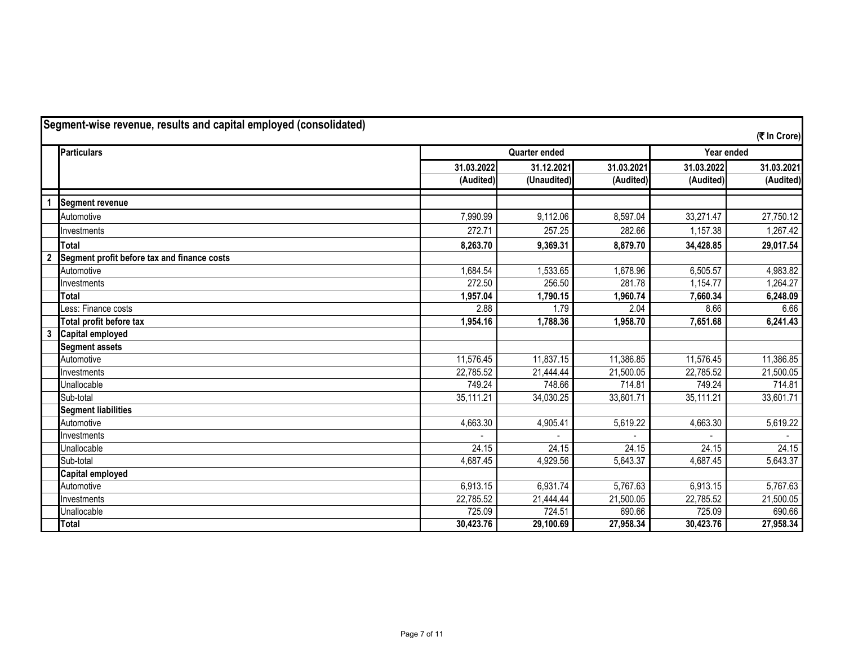| Segment-wise revenue, results and capital employed (consolidated) |                                             |            |                      |            |            |              |
|-------------------------------------------------------------------|---------------------------------------------|------------|----------------------|------------|------------|--------------|
|                                                                   |                                             |            |                      |            |            | (₹ In Crore) |
|                                                                   | <b>Particulars</b>                          |            | <b>Quarter ended</b> |            | Year ended |              |
|                                                                   |                                             | 31.03.2022 | 31.12.2021           | 31.03.2021 | 31.03.2022 | 31.03.2021   |
|                                                                   |                                             | (Audited)  | (Unaudited)          | (Audited)  | (Audited)  | (Audited)    |
|                                                                   | Segment revenue                             |            |                      |            |            |              |
|                                                                   | Automotive                                  | 7,990.99   | 9,112.06             | 8,597.04   | 33,271.47  | 27,750.12    |
|                                                                   | Investments                                 | 272.71     | 257.25               | 282.66     | 1,157.38   | 1,267.42     |
|                                                                   | <b>Total</b>                                | 8,263.70   | 9,369.31             | 8,879.70   | 34,428.85  | 29,017.54    |
|                                                                   | Segment profit before tax and finance costs |            |                      |            |            |              |
|                                                                   | Automotive                                  | 1,684.54   | 1,533.65             | 1,678.96   | 6,505.57   | 4,983.82     |
|                                                                   | Investments                                 | 272.50     | 256.50               | 281.78     | 1,154.77   | 1,264.27     |
|                                                                   | Total                                       | 1,957.04   | 1,790.15             | 1,960.74   | 7,660.34   | 6,248.09     |
|                                                                   | Less: Finance costs                         | 2.88       | 1.79                 | 2.04       | 8.66       | 6.66         |
|                                                                   | Total profit before tax                     | 1,954.16   | 1,788.36             | 1,958.70   | 7,651.68   | 6,241.43     |
| $\overline{\mathbf{3}}$                                           | Capital employed                            |            |                      |            |            |              |
|                                                                   | <b>Segment assets</b>                       |            |                      |            |            |              |
|                                                                   | Automotive                                  | 11,576.45  | 11,837.15            | 11,386.85  | 11,576.45  | 11,386.85    |
|                                                                   | Investments                                 | 22,785.52  | 21,444.44            | 21,500.05  | 22,785.52  | 21,500.05    |
|                                                                   | Unallocable                                 | 749.24     | 748.66               | 714.81     | 749.24     | 714.81       |
|                                                                   | Sub-total                                   | 35,111.21  | 34,030.25            | 33,601.71  | 35,111.21  | 33,601.71    |
|                                                                   | <b>Segment liabilities</b>                  |            |                      |            |            |              |
|                                                                   | Automotive                                  | 4,663.30   | 4,905.41             | 5,619.22   | 4,663.30   | 5,619.22     |
|                                                                   | Investments                                 |            |                      |            |            |              |
|                                                                   | Unallocable                                 | 24.15      | 24.15                | 24.15      | 24.15      | 24.15        |
|                                                                   | Sub-total                                   | 4,687.45   | 4,929.56             | 5,643.37   | 4,687.45   | 5,643.37     |
|                                                                   | <b>Capital employed</b>                     |            |                      |            |            |              |
|                                                                   | Automotive                                  | 6,913.15   | 6,931.74             | 5,767.63   | 6,913.15   | 5,767.63     |
|                                                                   | Investments                                 | 22,785.52  | 21,444.44            | 21,500.05  | 22,785.52  | 21,500.05    |
|                                                                   | Unallocable                                 | 725.09     | 724.51               | 690.66     | 725.09     | 690.66       |
|                                                                   | <b>Total</b>                                | 30,423.76  | 29,100.69            | 27,958.34  | 30,423.76  | 27,958.34    |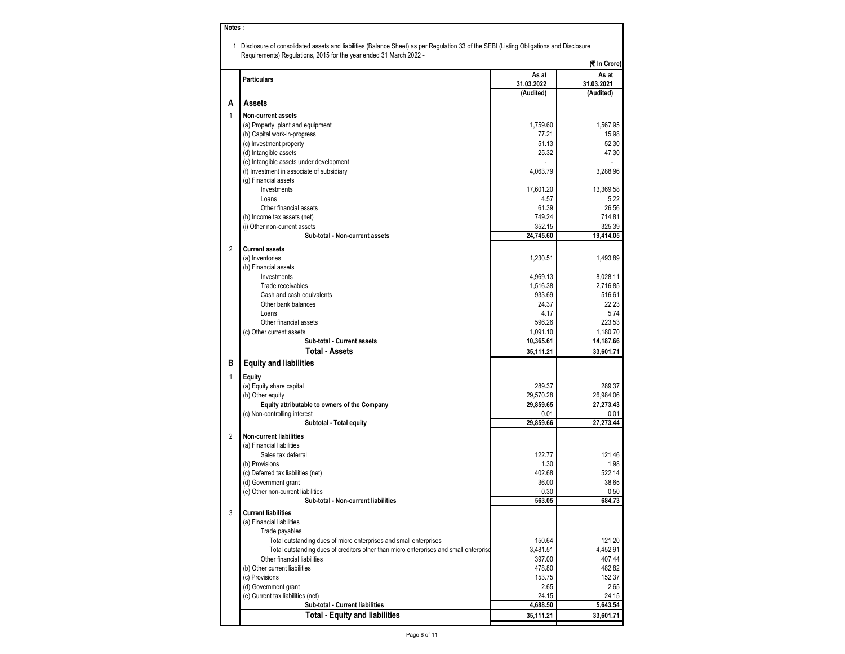| Notes:         |                                                                                                                                                                                                                |            |              |
|----------------|----------------------------------------------------------------------------------------------------------------------------------------------------------------------------------------------------------------|------------|--------------|
|                |                                                                                                                                                                                                                |            |              |
|                | 1 Disclosure of consolidated assets and liabilities (Balance Sheet) as per Regulation 33 of the SEBI (Listing Obligations and Disclosure<br>Requirements) Regulations, 2015 for the year ended 31 March 2022 - |            |              |
|                |                                                                                                                                                                                                                |            | (₹ In Crore) |
|                | <b>Particulars</b>                                                                                                                                                                                             | As at      | As at        |
|                |                                                                                                                                                                                                                | 31.03.2022 | 31.03.2021   |
|                |                                                                                                                                                                                                                | (Audited)  | (Audited)    |
| A              | Assets                                                                                                                                                                                                         |            |              |
| $\mathbf{1}$   | <b>Non-current assets</b>                                                                                                                                                                                      |            |              |
|                | (a) Property, plant and equipment                                                                                                                                                                              | 1,759.60   | 1,567.95     |
|                | (b) Capital work-in-progress                                                                                                                                                                                   | 77.21      | 15.98        |
|                | (c) Investment property                                                                                                                                                                                        | 51.13      | 52.30        |
|                | (d) Intangible assets                                                                                                                                                                                          | 25.32      | 47.30        |
|                | (e) Intangible assets under development                                                                                                                                                                        |            |              |
|                | (f) Investment in associate of subsidiary                                                                                                                                                                      | 4,063.79   | 3,288.96     |
|                | (g) Financial assets<br>Investments                                                                                                                                                                            | 17,601.20  | 13,369.58    |
|                | Loans                                                                                                                                                                                                          | 4.57       | 5.22         |
|                | Other financial assets                                                                                                                                                                                         | 61.39      | 26.56        |
|                | (h) Income tax assets (net)                                                                                                                                                                                    | 749.24     | 714.81       |
|                | (i) Other non-current assets                                                                                                                                                                                   | 352.15     | 325.39       |
|                | Sub-total - Non-current assets                                                                                                                                                                                 | 24,745.60  | 19,414.05    |
| $\overline{2}$ | <b>Current assets</b>                                                                                                                                                                                          |            |              |
|                | (a) Inventories                                                                                                                                                                                                | 1,230.51   | 1,493.89     |
|                | (b) Financial assets                                                                                                                                                                                           |            |              |
|                | Investments                                                                                                                                                                                                    | 4,969.13   | 8,028.11     |
|                | Trade receivables                                                                                                                                                                                              | 1,516.38   | 2,716.85     |
|                | Cash and cash equivalents                                                                                                                                                                                      | 933.69     | 516.61       |
|                | Other bank balances                                                                                                                                                                                            | 24.37      | 22.23        |
|                | Loans                                                                                                                                                                                                          | 4.17       | 5.74         |
|                | Other financial assets                                                                                                                                                                                         | 596.26     | 223.53       |
|                | (c) Other current assets                                                                                                                                                                                       | 1,091.10   | 1,180.70     |
|                | Sub-total - Current assets                                                                                                                                                                                     | 10,365.61  | 14,187.66    |
|                | <b>Total - Assets</b>                                                                                                                                                                                          | 35,111.21  | 33,601.71    |
| в              | <b>Equity and liabilities</b>                                                                                                                                                                                  |            |              |
| 1              | Equity                                                                                                                                                                                                         |            |              |
|                | (a) Equity share capital                                                                                                                                                                                       | 289.37     | 289.37       |
|                | (b) Other equity                                                                                                                                                                                               | 29,570.28  | 26,984.06    |
|                | Equity attributable to owners of the Company                                                                                                                                                                   | 29,859.65  | 27,273.43    |
|                | (c) Non-controlling interest                                                                                                                                                                                   | 0.01       | 0.01         |
|                | Subtotal - Total equity                                                                                                                                                                                        | 29,859.66  | 27,273.44    |
| $\overline{2}$ | <b>Non-current liabilities</b>                                                                                                                                                                                 |            |              |
|                | (a) Financial liabilities                                                                                                                                                                                      |            |              |
|                | Sales tax deferral                                                                                                                                                                                             | 122.77     | 121.46       |
|                | (b) Provisions                                                                                                                                                                                                 | 1.30       | 1.98         |
|                | (c) Deferred tax liabilities (net)                                                                                                                                                                             | 402.68     | 522.14       |
|                | (d) Government grant                                                                                                                                                                                           | 36.00      | 38.65        |
|                | (e) Other non-current liabilities                                                                                                                                                                              | 0.30       | 0.50         |
|                | Sub-total - Non-current liabilities                                                                                                                                                                            | 563.05     | 684.73       |
| 3              | <b>Current liabilities</b>                                                                                                                                                                                     |            |              |
|                | (a) Financial liabilities                                                                                                                                                                                      |            |              |
|                | Trade payables                                                                                                                                                                                                 |            |              |
|                | Total outstanding dues of micro enterprises and small enterprises                                                                                                                                              | 150.64     | 121.20       |
|                | Total outstanding dues of creditors other than micro enterprises and small enterprise                                                                                                                          | 3,481.51   | 4,452.91     |
|                | Other financial liabilities                                                                                                                                                                                    | 397.00     | 407.44       |
|                | (b) Other current liabilities                                                                                                                                                                                  | 478.80     | 482.82       |
|                | (c) Provisions                                                                                                                                                                                                 | 153.75     | 152.37       |
|                | (d) Government grant                                                                                                                                                                                           | 2.65       | 2.65         |
|                | (e) Current tax liabilities (net)                                                                                                                                                                              | 24.15      | 24.15        |
|                | Sub-total - Current liabilities                                                                                                                                                                                | 4,688.50   | 5,643.54     |
|                | <b>Total - Equity and liabilities</b>                                                                                                                                                                          | 35,111.21  | 33,601.71    |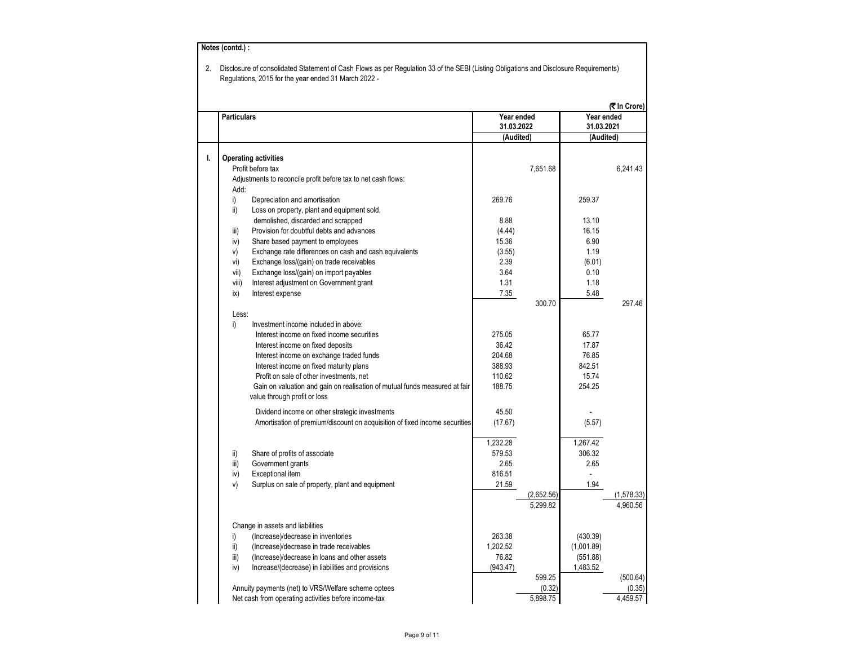| 2. | Notes (contd.) :   | Disclosure of consolidated Statement of Cash Flows as per Regulation 33 of the SEBI (Listing Obligations and Disclosure Requirements)<br>Regulations, 2015 for the year ended 31 March 2022 - |              |                    |              |                    |
|----|--------------------|-----------------------------------------------------------------------------------------------------------------------------------------------------------------------------------------------|--------------|--------------------|--------------|--------------------|
|    |                    |                                                                                                                                                                                               |              |                    |              | (₹ In Crore)       |
|    | <b>Particulars</b> |                                                                                                                                                                                               | Year ended   |                    | Year ended   |                    |
|    |                    |                                                                                                                                                                                               | 31.03.2022   |                    | 31.03.2021   |                    |
|    |                    |                                                                                                                                                                                               | (Audited)    |                    | (Audited)    |                    |
| ı. |                    | <b>Operating activities</b>                                                                                                                                                                   |              |                    |              |                    |
|    |                    | Profit before tax                                                                                                                                                                             |              | 7,651.68           |              | 6,241.43           |
|    |                    | Adjustments to reconcile profit before tax to net cash flows:                                                                                                                                 |              |                    |              |                    |
|    | Add:               |                                                                                                                                                                                               |              |                    |              |                    |
|    | i)                 | Depreciation and amortisation                                                                                                                                                                 | 269.76       |                    | 259.37       |                    |
|    | ii)                | Loss on property, plant and equipment sold,                                                                                                                                                   |              |                    |              |                    |
|    |                    | demolished, discarded and scrapped                                                                                                                                                            | 8.88         |                    | 13.10        |                    |
|    | iii)               | Provision for doubtful debts and advances                                                                                                                                                     | (4.44)       |                    | 16.15        |                    |
|    | iv)                | Share based payment to employees                                                                                                                                                              | 15.36        |                    | 6.90         |                    |
|    | V)                 | Exchange rate differences on cash and cash equivalents                                                                                                                                        | (3.55)       |                    | 1.19         |                    |
|    | vi)                | Exchange loss/(gain) on trade receivables                                                                                                                                                     | 2.39         |                    | (6.01)       |                    |
|    | vii)               | Exchange loss/(gain) on import payables                                                                                                                                                       | 3.64         |                    | 0.10         |                    |
|    | viii)              | Interest adjustment on Government grant                                                                                                                                                       | 1.31<br>7.35 |                    | 1.18<br>5.48 |                    |
|    | ix)                | Interest expense                                                                                                                                                                              |              | 300.70             |              | 297.46             |
|    | Less:              |                                                                                                                                                                                               |              |                    |              |                    |
|    | i)                 | Investment income included in above:                                                                                                                                                          |              |                    |              |                    |
|    |                    | Interest income on fixed income securities                                                                                                                                                    | 275.05       |                    | 65.77        |                    |
|    |                    | Interest income on fixed deposits                                                                                                                                                             | 36.42        |                    | 17.87        |                    |
|    |                    | Interest income on exchange traded funds                                                                                                                                                      | 204.68       |                    | 76.85        |                    |
|    |                    | Interest income on fixed maturity plans                                                                                                                                                       | 388.93       |                    | 842.51       |                    |
|    |                    | Profit on sale of other investments, net                                                                                                                                                      | 110.62       |                    | 15.74        |                    |
|    |                    | Gain on valuation and gain on realisation of mutual funds measured at fair                                                                                                                    | 188.75       |                    | 254.25       |                    |
|    |                    | value through profit or loss                                                                                                                                                                  |              |                    |              |                    |
|    |                    | Dividend income on other strategic investments                                                                                                                                                | 45.50        |                    |              |                    |
|    |                    | Amortisation of premium/discount on acquisition of fixed income securities                                                                                                                    | (17.67)      |                    | (5.57)       |                    |
|    |                    |                                                                                                                                                                                               |              |                    |              |                    |
|    |                    |                                                                                                                                                                                               | 1,232.28     |                    | 1,267.42     |                    |
|    | ii)                | Share of profits of associate                                                                                                                                                                 | 579.53       |                    | 306.32       |                    |
|    | iii)               | Government grants                                                                                                                                                                             | 2.65         |                    | 2.65         |                    |
|    | iv)                | Exceptional item                                                                                                                                                                              | 816.51       |                    |              |                    |
|    | v)                 | Surplus on sale of property, plant and equipment                                                                                                                                              | 21.59        |                    | 1.94         |                    |
|    |                    |                                                                                                                                                                                               |              | (2,652.56)         |              | (1,578.33)         |
|    |                    |                                                                                                                                                                                               |              | 5,299.82           |              | 4,960.56           |
|    |                    |                                                                                                                                                                                               |              |                    |              |                    |
|    |                    | Change in assets and liabilities                                                                                                                                                              |              |                    |              |                    |
|    | i)                 | (Increase)/decrease in inventories                                                                                                                                                            | 263.38       |                    | (430.39)     |                    |
|    | ii)                | (Increase)/decrease in trade receivables                                                                                                                                                      | 1,202.52     |                    | (1,001.89)   |                    |
|    | iii)               | (Increase)/decrease in loans and other assets                                                                                                                                                 | 76.82        |                    | (551.88)     |                    |
|    | iv)                | Increase/(decrease) in liabilities and provisions                                                                                                                                             | (943.47)     |                    | 1,483.52     |                    |
|    |                    | Annuity payments (net) to VRS/Welfare scheme optees                                                                                                                                           |              | 599.25             |              | (500.64)           |
|    |                    | Net cash from operating activities before income-tax                                                                                                                                          |              | (0.32)<br>5,898.75 |              | (0.35)<br>4,459.57 |
|    |                    |                                                                                                                                                                                               |              |                    |              |                    |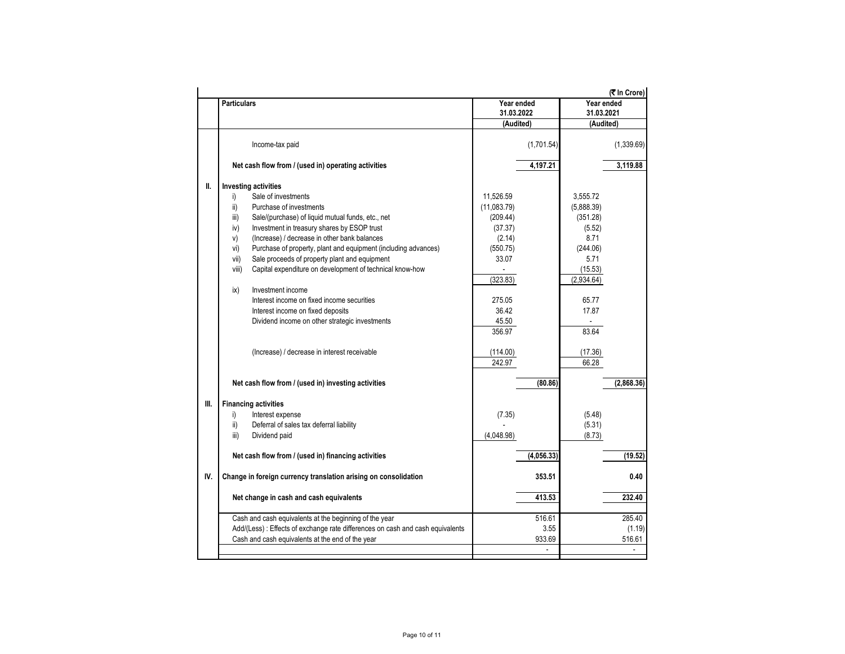|      |                                                                                |              |            |            | (₹ In Crore) |
|------|--------------------------------------------------------------------------------|--------------|------------|------------|--------------|
|      | <b>Particulars</b>                                                             | Year ended   |            | Year ended |              |
|      |                                                                                | 31.03.2022   |            | 31.03.2021 |              |
|      |                                                                                | (Audited)    |            | (Audited)  |              |
|      | Income-tax paid                                                                |              | (1,701.54) |            | (1,339.69)   |
|      | Net cash flow from / (used in) operating activities                            |              | 4,197.21   |            | 3,119.88     |
| II.  | <b>Investing activities</b>                                                    |              |            |            |              |
|      | i)<br>Sale of investments                                                      | 11,526.59    |            | 3,555.72   |              |
|      | ii)<br>Purchase of investments                                                 | (11,083.79)  |            | (5,888.39) |              |
|      | iii)<br>Sale/(purchase) of liquid mutual funds, etc., net                      | (209.44)     |            | (351.28)   |              |
|      | Investment in treasury shares by ESOP trust<br>iv)                             | (37.37)      |            | (5.52)     |              |
|      | (Increase) / decrease in other bank balances<br>v)                             | (2.14)       |            | 8.71       |              |
|      | Purchase of property, plant and equipment (including advances)<br>vi)          | (550.75)     |            | (244.06)   |              |
|      | Sale proceeds of property plant and equipment<br>vii)                          | 33.07        |            | 5.71       |              |
|      | viii)<br>Capital expenditure on development of technical know-how              | $\mathbf{r}$ |            | (15.53)    |              |
|      |                                                                                | (323.83)     |            | (2,934.64) |              |
|      | Investment income<br>ix)                                                       |              |            |            |              |
|      | Interest income on fixed income securities                                     | 275.05       |            | 65.77      |              |
|      |                                                                                |              |            |            |              |
|      | Interest income on fixed deposits                                              | 36.42        |            | 17.87      |              |
|      | Dividend income on other strategic investments                                 | 45.50        |            |            |              |
|      |                                                                                | 356.97       |            | 83.64      |              |
|      | (Increase) / decrease in interest receivable                                   | (114.00)     |            | (17.36)    |              |
|      |                                                                                | 242.97       |            | 66.28      |              |
|      | Net cash flow from / (used in) investing activities                            |              | (80.86)    |            | (2,868.36)   |
| III. | <b>Financing activities</b>                                                    |              |            |            |              |
|      | Interest expense                                                               | (7.35)       |            | (5.48)     |              |
|      | i)<br>ii)<br>Deferral of sales tax deferral liability                          |              |            | (5.31)     |              |
|      | iii)<br>Dividend paid                                                          | (4,048.98)   |            | (8.73)     |              |
|      |                                                                                |              |            |            |              |
|      | Net cash flow from / (used in) financing activities                            |              | (4,056.33) |            | (19.52)      |
| IV.  | Change in foreign currency translation arising on consolidation                |              | 353.51     |            | 0.40         |
|      |                                                                                |              | 413.53     |            |              |
|      | Net change in cash and cash equivalents                                        |              |            |            | 232.40       |
|      | Cash and cash equivalents at the beginning of the year                         |              | 516.61     |            | 285.40       |
|      | Add/(Less) : Effects of exchange rate differences on cash and cash equivalents |              | 3.55       |            | (1.19)       |
|      | Cash and cash equivalents at the end of the year                               |              | 933.69     |            | 516.61       |
|      |                                                                                |              |            |            |              |
|      |                                                                                |              |            |            |              |